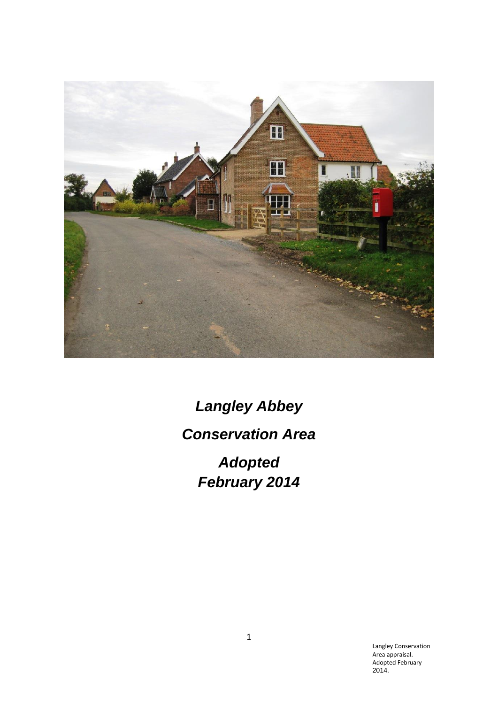

*Langley Abbey Conservation Area Adopted February 2014*

> Langley Conservation Area appraisal. Adopted February 2014.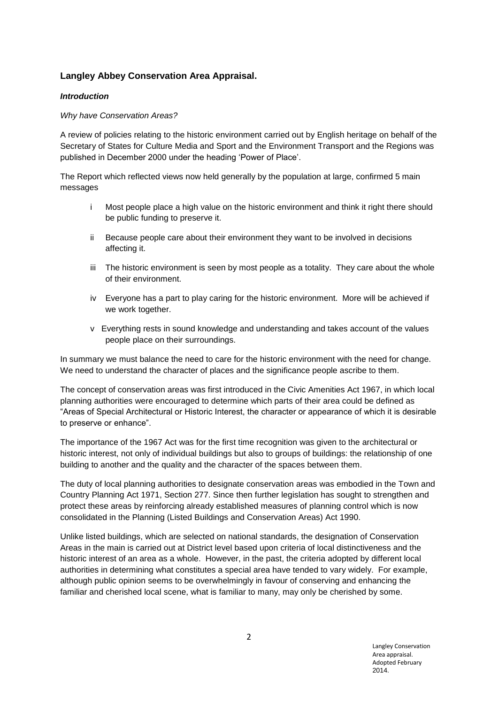# **Langley Abbey Conservation Area Appraisal.**

## *Introduction*

## *Why have Conservation Areas?*

A review of policies relating to the historic environment carried out by English heritage on behalf of the Secretary of States for Culture Media and Sport and the Environment Transport and the Regions was published in December 2000 under the heading 'Power of Place'.

The Report which reflected views now held generally by the population at large, confirmed 5 main messages

- i Most people place a high value on the historic environment and think it right there should be public funding to preserve it.
- ii Because people care about their environment they want to be involved in decisions affecting it.
- iii The historic environment is seen by most people as a totality. They care about the whole of their environment.
- iv Everyone has a part to play caring for the historic environment. More will be achieved if we work together.
- v Everything rests in sound knowledge and understanding and takes account of the values people place on their surroundings.

In summary we must balance the need to care for the historic environment with the need for change. We need to understand the character of places and the significance people ascribe to them.

The concept of conservation areas was first introduced in the Civic Amenities Act 1967, in which local planning authorities were encouraged to determine which parts of their area could be defined as "Areas of Special Architectural or Historic Interest, the character or appearance of which it is desirable to preserve or enhance".

The importance of the 1967 Act was for the first time recognition was given to the architectural or historic interest, not only of individual buildings but also to groups of buildings: the relationship of one building to another and the quality and the character of the spaces between them.

The duty of local planning authorities to designate conservation areas was embodied in the Town and Country Planning Act 1971, Section 277. Since then further legislation has sought to strengthen and protect these areas by reinforcing already established measures of planning control which is now consolidated in the Planning (Listed Buildings and Conservation Areas) Act 1990.

Unlike listed buildings, which are selected on national standards, the designation of Conservation Areas in the main is carried out at District level based upon criteria of local distinctiveness and the historic interest of an area as a whole. However, in the past, the criteria adopted by different local authorities in determining what constitutes a special area have tended to vary widely. For example, although public opinion seems to be overwhelmingly in favour of conserving and enhancing the familiar and cherished local scene, what is familiar to many, may only be cherished by some.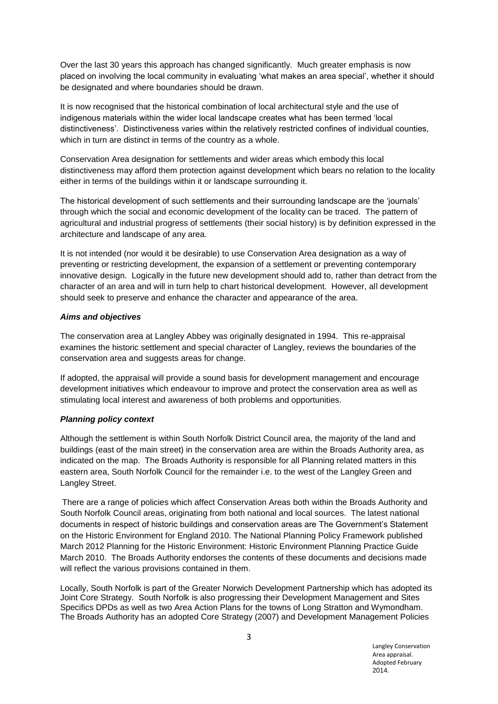Over the last 30 years this approach has changed significantly. Much greater emphasis is now placed on involving the local community in evaluating 'what makes an area special', whether it should be designated and where boundaries should be drawn.

It is now recognised that the historical combination of local architectural style and the use of indigenous materials within the wider local landscape creates what has been termed 'local distinctiveness'. Distinctiveness varies within the relatively restricted confines of individual counties, which in turn are distinct in terms of the country as a whole.

Conservation Area designation for settlements and wider areas which embody this local distinctiveness may afford them protection against development which bears no relation to the locality either in terms of the buildings within it or landscape surrounding it.

The historical development of such settlements and their surrounding landscape are the 'journals' through which the social and economic development of the locality can be traced. The pattern of agricultural and industrial progress of settlements (their social history) is by definition expressed in the architecture and landscape of any area.

It is not intended (nor would it be desirable) to use Conservation Area designation as a way of preventing or restricting development, the expansion of a settlement or preventing contemporary innovative design. Logically in the future new development should add to, rather than detract from the character of an area and will in turn help to chart historical development. However, all development should seek to preserve and enhance the character and appearance of the area.

### *Aims and objectives*

The conservation area at Langley Abbey was originally designated in 1994. This re-appraisal examines the historic settlement and special character of Langley, reviews the boundaries of the conservation area and suggests areas for change.

If adopted, the appraisal will provide a sound basis for development management and encourage development initiatives which endeavour to improve and protect the conservation area as well as stimulating local interest and awareness of both problems and opportunities.

## *Planning policy context*

Although the settlement is within South Norfolk District Council area, the majority of the land and buildings (east of the main street) in the conservation area are within the Broads Authority area, as indicated on the map. The Broads Authority is responsible for all Planning related matters in this eastern area, South Norfolk Council for the remainder i.e. to the west of the Langley Green and Langley Street.

There are a range of policies which affect Conservation Areas both within the Broads Authority and South Norfolk Council areas, originating from both national and local sources. The latest national documents in respect of historic buildings and conservation areas are The Government's Statement on the Historic Environment for England 2010. The National Planning Policy Framework published March 2012 Planning for the Historic Environment: Historic Environment Planning Practice Guide March 2010. The Broads Authority endorses the contents of these documents and decisions made will reflect the various provisions contained in them.

Locally, South Norfolk is part of the Greater Norwich Development Partnership which has adopted its Joint Core Strategy. South Norfolk is also progressing their Development Management and Sites Specifics DPDs as well as two Area Action Plans for the towns of Long Stratton and Wymondham. The Broads Authority has an adopted Core Strategy (2007) and Development Management Policies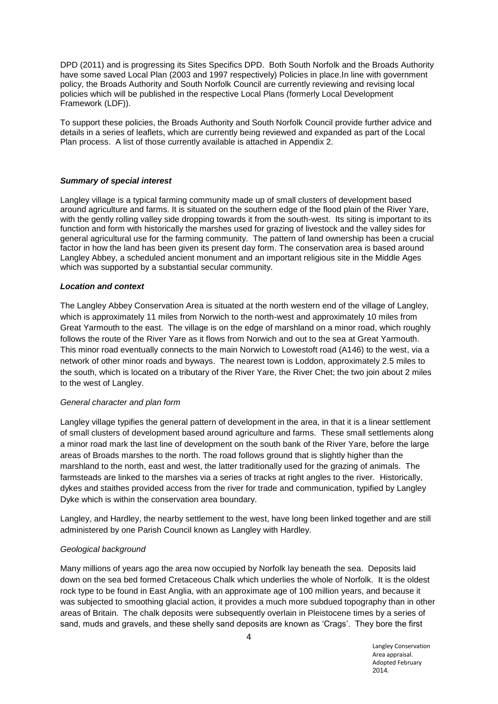DPD (2011) and is progressing its Sites Specifics DPD. Both South Norfolk and the Broads Authority have some saved Local Plan (2003 and 1997 respectively) Policies in place.In line with government policy, the Broads Authority and South Norfolk Council are currently reviewing and revising local policies which will be published in the respective Local Plans (formerly Local Development Framework (LDF)).

To support these policies, the Broads Authority and South Norfolk Council provide further advice and details in a series of leaflets, which are currently being reviewed and expanded as part of the Local Plan process. A list of those currently available is attached in Appendix 2.

#### *Summary of special interest*

Langley village is a typical farming community made up of small clusters of development based around agriculture and farms. It is situated on the southern edge of the flood plain of the River Yare, with the gently rolling valley side dropping towards it from the south-west. Its siting is important to its function and form with historically the marshes used for grazing of livestock and the valley sides for general agricultural use for the farming community. The pattern of land ownership has been a crucial factor in how the land has been given its present day form. The conservation area is based around Langley Abbey, a scheduled ancient monument and an important religious site in the Middle Ages which was supported by a substantial secular community.

#### *Location and context*

The Langley Abbey Conservation Area is situated at the north western end of the village of Langley, which is approximately 11 miles from Norwich to the north-west and approximately 10 miles from Great Yarmouth to the east. The village is on the edge of marshland on a minor road, which roughly follows the route of the River Yare as it flows from Norwich and out to the sea at Great Yarmouth. This minor road eventually connects to the main Norwich to Lowestoft road (A146) to the west, via a network of other minor roads and byways. The nearest town is Loddon, approximately 2.5 miles to the south, which is located on a tributary of the River Yare, the River Chet; the two join about 2 miles to the west of Langley.

#### *General character and plan form*

Langley village typifies the general pattern of development in the area, in that it is a linear settlement of small clusters of development based around agriculture and farms. These small settlements along a minor road mark the last line of development on the south bank of the River Yare, before the large areas of Broads marshes to the north. The road follows ground that is slightly higher than the marshland to the north, east and west, the latter traditionally used for the grazing of animals. The farmsteads are linked to the marshes via a series of tracks at right angles to the river. Historically, dykes and staithes provided access from the river for trade and communication, typified by Langley Dyke which is within the conservation area boundary.

Langley, and Hardley, the nearby settlement to the west, have long been linked together and are still administered by one Parish Council known as Langley with Hardley.

## *Geological background*

Many millions of years ago the area now occupied by Norfolk lay beneath the sea. Deposits laid down on the sea bed formed Cretaceous Chalk which underlies the whole of Norfolk. It is the oldest rock type to be found in East Anglia, with an approximate age of 100 million years, and because it was subjected to smoothing glacial action, it provides a much more subdued topography than in other areas of Britain. The chalk deposits were subsequently overlain in Pleistocene times by a series of sand, muds and gravels, and these shelly sand deposits are known as 'Crags'. They bore the first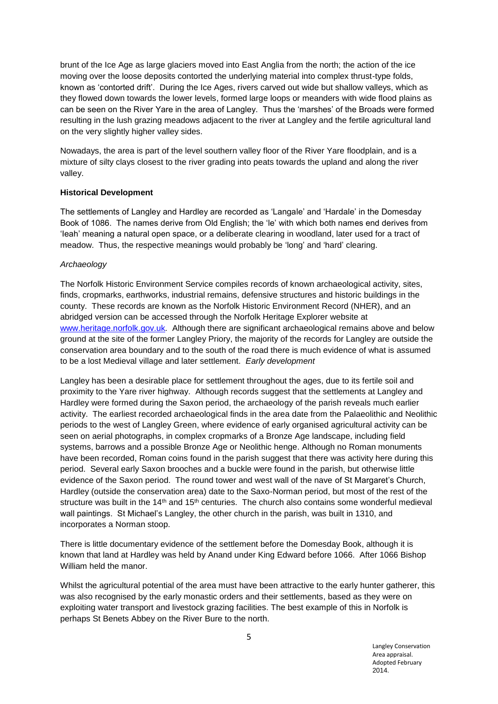brunt of the Ice Age as large glaciers moved into East Anglia from the north; the action of the ice moving over the loose deposits contorted the underlying material into complex thrust-type folds, known as 'contorted drift'. During the Ice Ages, rivers carved out wide but shallow valleys, which as they flowed down towards the lower levels, formed large loops or meanders with wide flood plains as can be seen on the River Yare in the area of Langley. Thus the 'marshes' of the Broads were formed resulting in the lush grazing meadows adjacent to the river at Langley and the fertile agricultural land on the very slightly higher valley sides.

Nowadays, the area is part of the level southern valley floor of the River Yare floodplain, and is a mixture of silty clays closest to the river grading into peats towards the upland and along the river valley.

### **Historical Development**

The settlements of Langley and Hardley are recorded as 'Langale' and 'Hardale' in the Domesday Book of 1086. The names derive from Old English; the 'le' with which both names end derives from 'Ieah' meaning a natural open space, or a deliberate clearing in woodland, later used for a tract of meadow. Thus, the respective meanings would probably be 'long' and 'hard' clearing.

### *Archaeology*

The Norfolk Historic Environment Service compiles records of known archaeological activity, sites, finds, cropmarks, earthworks, industrial remains, defensive structures and historic buildings in the county. These records are known as the Norfolk Historic Environment Record (NHER), and an abridged version can be accessed through the Norfolk Heritage Explorer website at [www.heritage.norfolk.gov.uk](http://www.heritage.norfolk.gov.uk/)*.* Although there are significant archaeological remains above and below ground at the site of the former Langley Priory, the majority of the records for Langley are outside the conservation area boundary and to the south of the road there is much evidence of what is assumed to be a lost Medieval village and later settlement. *Early development*

Langley has been a desirable place for settlement throughout the ages, due to its fertile soil and proximity to the Yare river highway. Although records suggest that the settlements at Langley and Hardley were formed during the Saxon period, the archaeology of the parish reveals much earlier activity. The earliest recorded archaeological finds in the area date from the Palaeolithic and Neolithic periods to the west of Langley Green, where evidence of early organised agricultural activity can be seen on aerial photographs, in complex cropmarks of a Bronze Age landscape, including field systems, barrows and a possible Bronze Age or Neolithic henge. Although no Roman monuments have been recorded, Roman coins found in the parish suggest that there was activity here during this period. Several early Saxon brooches and a buckle were found in the parish, but otherwise little evidence of the Saxon period. The round tower and west wall of the nave of St Margaret's Church, Hardley (outside the conservation area) date to the Saxo-Norman period, but most of the rest of the structure was built in the  $14<sup>th</sup>$  and  $15<sup>th</sup>$  centuries. The church also contains some wonderful medieval wall paintings. St Michael's Langley, the other church in the parish, was built in 1310, and incorporates a Norman stoop.

There is little documentary evidence of the settlement before the Domesday Book, although it is known that land at Hardley was held by Anand under King Edward before 1066. After 1066 Bishop William held the manor.

Whilst the agricultural potential of the area must have been attractive to the early hunter gatherer, this was also recognised by the early monastic orders and their settlements, based as they were on exploiting water transport and livestock grazing facilities. The best example of this in Norfolk is perhaps St Benets Abbey on the River Bure to the north.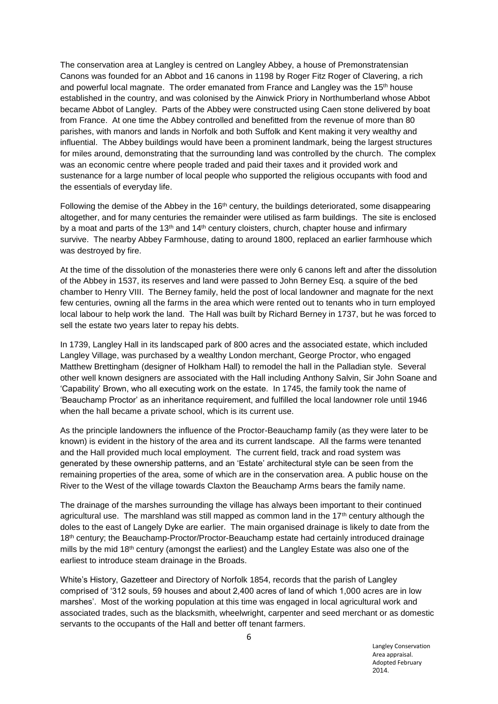The conservation area at Langley is centred on Langley Abbey, a house of Premonstratensian Canons was founded for an Abbot and 16 canons in 1198 by Roger Fitz Roger of Clavering, a rich and powerful local magnate. The order emanated from France and Langley was the  $15<sup>th</sup>$  house established in the country, and was colonised by the Ainwick Priory in Northumberland whose Abbot became Abbot of Langley. Parts of the Abbey were constructed using Caen stone delivered by boat from France. At one time the Abbey controlled and benefitted from the revenue of more than 80 parishes, with manors and lands in Norfolk and both Suffolk and Kent making it very wealthy and influential. The Abbey buildings would have been a prominent landmark, being the largest structures for miles around, demonstrating that the surrounding land was controlled by the church. The complex was an economic centre where people traded and paid their taxes and it provided work and sustenance for a large number of local people who supported the religious occupants with food and the essentials of everyday life.

Following the demise of the Abbey in the 16<sup>th</sup> century, the buildings deteriorated, some disappearing altogether, and for many centuries the remainder were utilised as farm buildings. The site is enclosed by a moat and parts of the 13<sup>th</sup> and 14<sup>th</sup> century cloisters, church, chapter house and infirmary survive. The nearby Abbey Farmhouse, dating to around 1800, replaced an earlier farmhouse which was destroyed by fire.

At the time of the dissolution of the monasteries there were only 6 canons left and after the dissolution of the Abbey in 1537, its reserves and land were passed to John Berney Esq. a squire of the bed chamber to Henry VIII. The Berney family, held the post of local landowner and magnate for the next few centuries, owning all the farms in the area which were rented out to tenants who in turn employed local labour to help work the land. The Hall was built by Richard Berney in 1737, but he was forced to sell the estate two years later to repay his debts.

In 1739, Langley Hall in its landscaped park of 800 acres and the associated estate, which included Langley Village, was purchased by a wealthy London merchant, George Proctor, who engaged Matthew Brettingham (designer of Holkham Hall) to remodel the hall in the Palladian style. Several other well known designers are associated with the Hall including Anthony Salvin, Sir John Soane and 'Capability' Brown, who all executing work on the estate. In 1745, the family took the name of 'Beauchamp Proctor' as an inheritance requirement, and fulfilled the local landowner role until 1946 when the hall became a private school, which is its current use.

As the principle landowners the influence of the Proctor-Beauchamp family (as they were later to be known) is evident in the history of the area and its current landscape. All the farms were tenanted and the Hall provided much local employment. The current field, track and road system was generated by these ownership patterns, and an 'Estate' architectural style can be seen from the remaining properties of the area, some of which are in the conservation area. A public house on the River to the West of the village towards Claxton the Beauchamp Arms bears the family name.

The drainage of the marshes surrounding the village has always been important to their continued agricultural use. The marshland was still mapped as common land in the  $17<sup>th</sup>$  century although the doles to the east of Langely Dyke are earlier. The main organised drainage is likely to date from the 18<sup>th</sup> century; the Beauchamp-Proctor/Proctor-Beauchamp estate had certainly introduced drainage mills by the mid 18<sup>th</sup> century (amongst the earliest) and the Langley Estate was also one of the earliest to introduce steam drainage in the Broads.

White's History, Gazetteer and Directory of Norfolk 1854, records that the parish of Langley comprised of '312 souls, 59 houses and about 2,400 acres of land of which 1,000 acres are in low marshes'. Most of the working population at this time was engaged in local agricultural work and associated trades, such as the blacksmith, wheelwright, carpenter and seed merchant or as domestic servants to the occupants of the Hall and better off tenant farmers.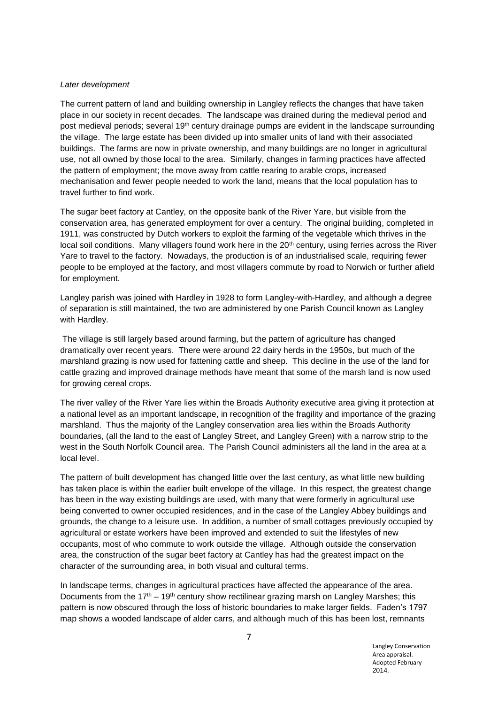#### *Later development*

The current pattern of land and building ownership in Langley reflects the changes that have taken place in our society in recent decades. The landscape was drained during the medieval period and post medieval periods; several 19<sup>th</sup> century drainage pumps are evident in the landscape surrounding the village. The large estate has been divided up into smaller units of land with their associated buildings. The farms are now in private ownership, and many buildings are no longer in agricultural use, not all owned by those local to the area. Similarly, changes in farming practices have affected the pattern of employment; the move away from cattle rearing to arable crops, increased mechanisation and fewer people needed to work the land, means that the local population has to travel further to find work.

The sugar beet factory at Cantley, on the opposite bank of the River Yare, but visible from the conservation area, has generated employment for over a century. The original building, completed in 1911, was constructed by Dutch workers to exploit the farming of the vegetable which thrives in the local soil conditions. Many villagers found work here in the 20<sup>th</sup> century, using ferries across the River Yare to travel to the factory. Nowadays, the production is of an industrialised scale, requiring fewer people to be employed at the factory, and most villagers commute by road to Norwich or further afield for employment.

Langley parish was joined with Hardley in 1928 to form Langley-with-Hardley, and although a degree of separation is still maintained, the two are administered by one Parish Council known as Langley with Hardley.

The village is still largely based around farming, but the pattern of agriculture has changed dramatically over recent years. There were around 22 dairy herds in the 1950s, but much of the marshland grazing is now used for fattening cattle and sheep. This decline in the use of the land for cattle grazing and improved drainage methods have meant that some of the marsh land is now used for growing cereal crops.

The river valley of the River Yare lies within the Broads Authority executive area giving it protection at a national level as an important landscape, in recognition of the fragility and importance of the grazing marshland. Thus the majority of the Langley conservation area lies within the Broads Authority boundaries, (all the land to the east of Langley Street, and Langley Green) with a narrow strip to the west in the South Norfolk Council area. The Parish Council administers all the land in the area at a local level.

The pattern of built development has changed little over the last century, as what little new building has taken place is within the earlier built envelope of the village. In this respect, the greatest change has been in the way existing buildings are used, with many that were formerly in agricultural use being converted to owner occupied residences, and in the case of the Langley Abbey buildings and grounds, the change to a leisure use. In addition, a number of small cottages previously occupied by agricultural or estate workers have been improved and extended to suit the lifestyles of new occupants, most of who commute to work outside the village. Although outside the conservation area, the construction of the sugar beet factory at Cantley has had the greatest impact on the character of the surrounding area, in both visual and cultural terms.

In landscape terms, changes in agricultural practices have affected the appearance of the area. Documents from the  $17<sup>th</sup> - 19<sup>th</sup>$  century show rectilinear grazing marsh on Langley Marshes; this pattern is now obscured through the loss of historic boundaries to make larger fields. Faden's 1797 map shows a wooded landscape of alder carrs, and although much of this has been lost, remnants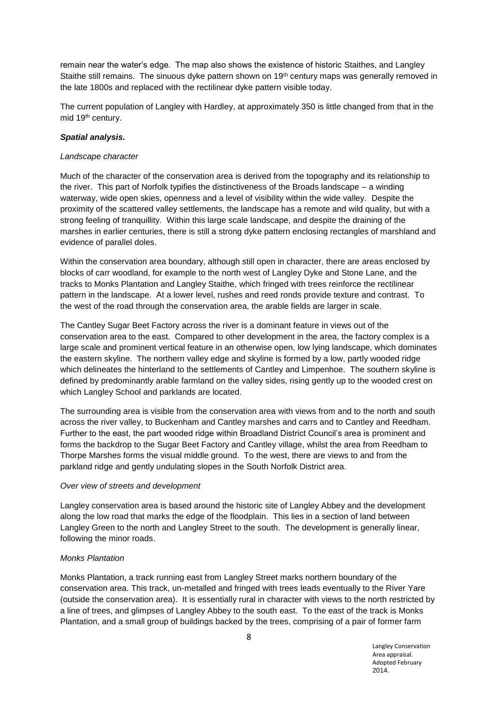remain near the water's edge. The map also shows the existence of historic Staithes, and Langley Staithe still remains. The sinuous dyke pattern shown on 19<sup>th</sup> century maps was generally removed in the late 1800s and replaced with the rectilinear dyke pattern visible today.

The current population of Langley with Hardley, at approximately 350 is little changed from that in the mid 19<sup>th</sup> century.

### *Spatial analysis.*

#### *Landscape character*

Much of the character of the conservation area is derived from the topography and its relationship to the river. This part of Norfolk typifies the distinctiveness of the Broads landscape – a winding waterway, wide open skies, openness and a level of visibility within the wide valley. Despite the proximity of the scattered valley settlements, the landscape has a remote and wild quality, but with a strong feeling of tranquillity. Within this large scale landscape, and despite the draining of the marshes in earlier centuries, there is still a strong dyke pattern enclosing rectangles of marshland and evidence of parallel doles.

Within the conservation area boundary, although still open in character, there are areas enclosed by blocks of carr woodland, for example to the north west of Langley Dyke and Stone Lane, and the tracks to Monks Plantation and Langley Staithe, which fringed with trees reinforce the rectilinear pattern in the landscape. At a lower level, rushes and reed ronds provide texture and contrast. To the west of the road through the conservation area, the arable fields are larger in scale.

The Cantley Sugar Beet Factory across the river is a dominant feature in views out of the conservation area to the east. Compared to other development in the area, the factory complex is a large scale and prominent vertical feature in an otherwise open, low lying landscape, which dominates the eastern skyline. The northern valley edge and skyline is formed by a low, partly wooded ridge which delineates the hinterland to the settlements of Cantley and Limpenhoe. The southern skyline is defined by predominantly arable farmland on the valley sides, rising gently up to the wooded crest on which Langley School and parklands are located.

The surrounding area is visible from the conservation area with views from and to the north and south across the river valley, to Buckenham and Cantley marshes and carrs and to Cantley and Reedham. Further to the east, the part wooded ridge within Broadland District Council's area is prominent and forms the backdrop to the Sugar Beet Factory and Cantley village, whilst the area from Reedham to Thorpe Marshes forms the visual middle ground. To the west, there are views to and from the parkland ridge and gently undulating slopes in the South Norfolk District area.

### *Over view of streets and development*

Langley conservation area is based around the historic site of Langley Abbey and the development along the low road that marks the edge of the floodplain. This lies in a section of land between Langley Green to the north and Langley Street to the south. The development is generally linear, following the minor roads.

## *Monks Plantation*

Monks Plantation, a track running east from Langley Street marks northern boundary of the conservation area. This track, un-metalled and fringed with trees leads eventually to the River Yare (outside the conservation area). It is essentially rural in character with views to the north restricted by a line of trees, and glimpses of Langley Abbey to the south east. To the east of the track is Monks Plantation, and a small group of buildings backed by the trees, comprising of a pair of former farm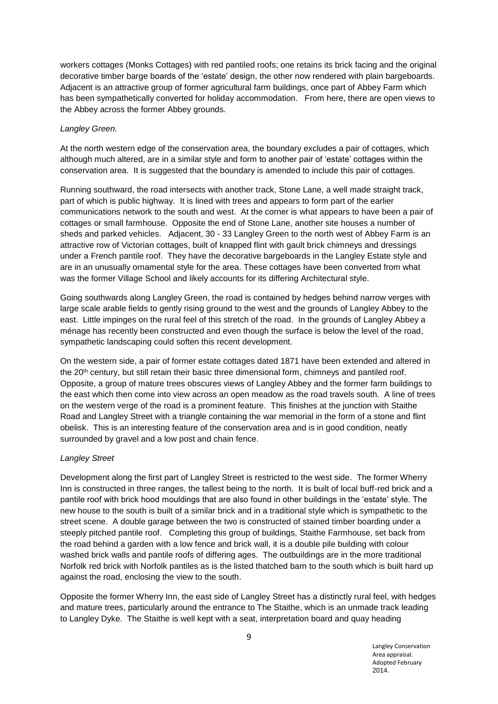workers cottages (Monks Cottages) with red pantiled roofs; one retains its brick facing and the original decorative timber barge boards of the 'estate' design, the other now rendered with plain bargeboards. Adjacent is an attractive group of former agricultural farm buildings, once part of Abbey Farm which has been sympathetically converted for holiday accommodation. From here, there are open views to the Abbey across the former Abbey grounds.

### *Langley Green.*

At the north western edge of the conservation area, the boundary excludes a pair of cottages, which although much altered, are in a similar style and form to another pair of 'estate' cottages within the conservation area. It is suggested that the boundary is amended to include this pair of cottages.

Running southward, the road intersects with another track, Stone Lane, a well made straight track, part of which is public highway. It is lined with trees and appears to form part of the earlier communications network to the south and west. At the corner is what appears to have been a pair of cottages or small farmhouse. Opposite the end of Stone Lane, another site houses a number of sheds and parked vehicles. Adjacent, 30 - 33 Langley Green to the north west of Abbey Farm is an attractive row of Victorian cottages, built of knapped flint with gault brick chimneys and dressings under a French pantile roof. They have the decorative bargeboards in the Langley Estate style and are in an unusually ornamental style for the area. These cottages have been converted from what was the former Village School and likely accounts for its differing Architectural style.

Going southwards along Langley Green, the road is contained by hedges behind narrow verges with large scale arable fields to gently rising ground to the west and the grounds of Langley Abbey to the east. Little impinges on the rural feel of this stretch of the road. In the grounds of Langley Abbey a ménage has recently been constructed and even though the surface is below the level of the road, sympathetic landscaping could soften this recent development.

On the western side, a pair of former estate cottages dated 1871 have been extended and altered in the 20<sup>th</sup> century, but still retain their basic three dimensional form, chimneys and pantiled roof. Opposite, a group of mature trees obscures views of Langley Abbey and the former farm buildings to the east which then come into view across an open meadow as the road travels south. A line of trees on the western verge of the road is a prominent feature. This finishes at the junction with Staithe Road and Langley Street with a triangle containing the war memorial in the form of a stone and flint obelisk. This is an interesting feature of the conservation area and is in good condition, neatly surrounded by gravel and a low post and chain fence.

## *Langley Street*

Development along the first part of Langley Street is restricted to the west side. The former Wherry Inn is constructed in three ranges, the tallest being to the north. It is built of local buff-red brick and a pantile roof with brick hood mouldings that are also found in other buildings in the 'estate' style. The new house to the south is built of a similar brick and in a traditional style which is sympathetic to the street scene. A double garage between the two is constructed of stained timber boarding under a steeply pitched pantile roof. Completing this group of buildings, Staithe Farmhouse, set back from the road behind a garden with a low fence and brick wall, it is a double pile building with colour washed brick walls and pantile roofs of differing ages. The outbuildings are in the more traditional Norfolk red brick with Norfolk pantiles as is the listed thatched barn to the south which is built hard up against the road, enclosing the view to the south.

Opposite the former Wherry Inn, the east side of Langley Street has a distinctly rural feel, with hedges and mature trees, particularly around the entrance to The Staithe, which is an unmade track leading to Langley Dyke. The Staithe is well kept with a seat, interpretation board and quay heading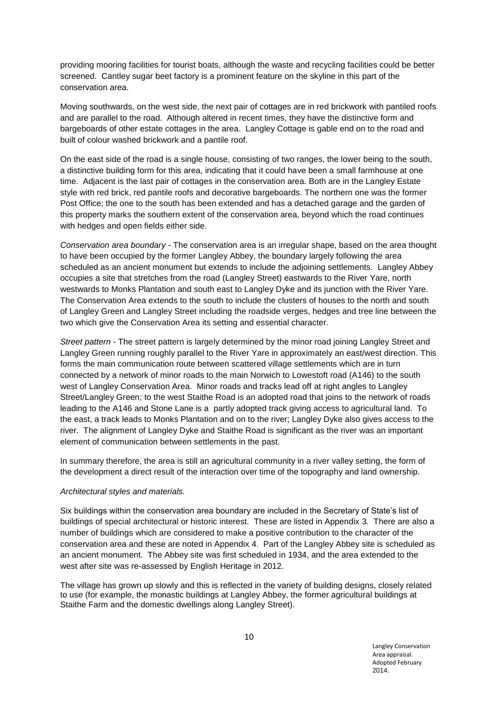providing mooring facilities for tourist boats, although the waste and recycling facilities could be better screened. Cantley sugar beet factory is a prominent feature on the skyline in this part of the conservation area.

Moving southwards, on the west side, the next pair of cottages are in red brickwork with pantiled roofs and are parallel to the road. Although altered in recent times, they have the distinctive form and bargeboards of other estate cottages in the area. Langley Cottage is gable end on to the road and built of colour washed brickwork and a pantile roof.

On the east side of the road is a single house, consisting of two ranges, the lower being to the south, a distinctive building form for this area, indicating that it could have been a small farmhouse at one time. Adjacent is the last pair of cottages in the conservation area. Both are in the Langley Estate style with red brick, red pantile roofs and decorative bargeboards. The northern one was the former Post Office; the one to the south has been extended and has a detached garage and the garden of this property marks the southern extent of the conservation area, beyond which the road continues with hedges and open fields either side.

*Conservation area boundary* - The conservation area is an irregular shape, based on the area thought to have been occupied by the former Langley Abbey, the boundary largely following the area scheduled as an ancient monument but extends to include the adjoining settlements. Langley Abbey occupies a site that stretches from the road (Langley Street) eastwards to the River Yare, north westwards to Monks Plantation and south east to Langley Dyke and its junction with the River Yare. The Conservation Area extends to the south to include the clusters of houses to the north and south of Langley Green and Langley Street including the roadside verges, hedges and tree line between the two which give the Conservation Area its setting and essential character.

*Street pattern -* The street pattern is largely determined by the minor road joining Langley Street and Langley Green running roughly parallel to the River Yare in approximately an east/west direction. This forms the main communication route between scattered village settlements which are in turn connected by a network of minor roads to the main Norwich to Lowestoft road (A146) to the south west of Langley Conservation Area. Minor roads and tracks lead off at right angles to Langley Street/Langley Green; to the west Staithe Road is an adopted road that joins to the network of roads leading to the A146 and Stone Lane is a partly adopted track giving access to agricultural land. To the east, a track leads to Monks Plantation and on to the river; Langley Dyke also gives access to the river. The alignment of Langley Dyke and Staithe Road is significant as the river was an important element of communication between settlements in the past.

In summary therefore, the area is still an agricultural community in a river valley setting, the form of the development a direct result of the interaction over time of the topography and land ownership.

#### *Architectural styles and materials.*

Six buildings within the conservation area boundary are included in the Secretary of State's list of buildings of special architectural or historic interest. These are listed in Appendix 3*.* There are also a number of buildings which are considered to make a positive contribution to the character of the conservation area and these are noted in Appendix 4. Part of the Langley Abbey site is scheduled as an ancient monument. The Abbey site was first scheduled in 1934, and the area extended to the west after site was re-assessed by English Heritage in 2012.

The village has grown up slowly and this is reflected in the variety of building designs, closely related to use (for example, the monastic buildings at Langley Abbey, the former agricultural buildings at Staithe Farm and the domestic dwellings along Langley Street).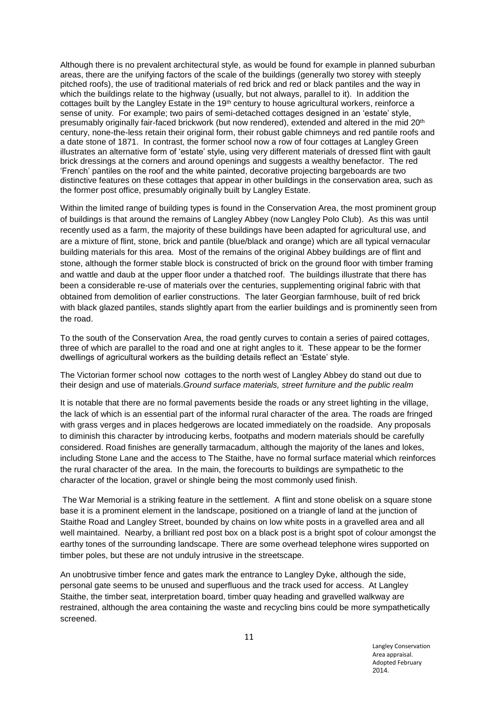Although there is no prevalent architectural style, as would be found for example in planned suburban areas, there are the unifying factors of the scale of the buildings (generally two storey with steeply pitched roofs), the use of traditional materials of red brick and red or black pantiles and the way in which the buildings relate to the highway (usually, but not always, parallel to it). In addition the cottages built by the Langley Estate in the 19<sup>th</sup> century to house agricultural workers, reinforce a sense of unity. For example; two pairs of semi-detached cottages designed in an 'estate' style, presumably originally fair-faced brickwork (but now rendered), extended and altered in the mid 20<sup>th</sup> century, none-the-less retain their original form, their robust gable chimneys and red pantile roofs and a date stone of 1871. In contrast, the former school now a row of four cottages at Langley Green illustrates an alternative form of 'estate' style, using very different materials of dressed flint with gault brick dressings at the corners and around openings and suggests a wealthy benefactor. The red 'French' pantiles on the roof and the white painted, decorative projecting bargeboards are two distinctive features on these cottages that appear in other buildings in the conservation area, such as the former post office, presumably originally built by Langley Estate.

Within the limited range of building types is found in the Conservation Area, the most prominent group of buildings is that around the remains of Langley Abbey (now Langley Polo Club). As this was until recently used as a farm, the majority of these buildings have been adapted for agricultural use, and are a mixture of flint, stone, brick and pantile (blue/black and orange) which are all typical vernacular building materials for this area. Most of the remains of the original Abbey buildings are of flint and stone, although the former stable block is constructed of brick on the ground floor with timber framing and wattle and daub at the upper floor under a thatched roof. The buildings illustrate that there has been a considerable re-use of materials over the centuries, supplementing original fabric with that obtained from demolition of earlier constructions. The later Georgian farmhouse, built of red brick with black glazed pantiles, stands slightly apart from the earlier buildings and is prominently seen from the road.

To the south of the Conservation Area, the road gently curves to contain a series of paired cottages, three of which are parallel to the road and one at right angles to it. These appear to be the former dwellings of agricultural workers as the building details reflect an 'Estate' style.

The Victorian former school now cottages to the north west of Langley Abbey do stand out due to their design and use of materials.*Ground surface materials, street furniture and the public realm*

It is notable that there are no formal pavements beside the roads or any street lighting in the village, the lack of which is an essential part of the informal rural character of the area. The roads are fringed with grass verges and in places hedgerows are located immediately on the roadside. Any proposals to diminish this character by introducing kerbs, footpaths and modern materials should be carefully considered. Road finishes are generally tarmacadum, although the majority of the lanes and lokes, including Stone Lane and the access to The Staithe, have no formal surface material which reinforces the rural character of the area. In the main, the forecourts to buildings are sympathetic to the character of the location, gravel or shingle being the most commonly used finish.

The War Memorial is a striking feature in the settlement. A flint and stone obelisk on a square stone base it is a prominent element in the landscape, positioned on a triangle of land at the junction of Staithe Road and Langley Street, bounded by chains on low white posts in a gravelled area and all well maintained. Nearby, a brilliant red post box on a black post is a bright spot of colour amongst the earthy tones of the surrounding landscape. There are some overhead telephone wires supported on timber poles, but these are not unduly intrusive in the streetscape.

An unobtrusive timber fence and gates mark the entrance to Langley Dyke, although the side, personal gate seems to be unused and superfluous and the track used for access. At Langley Staithe, the timber seat, interpretation board, timber quay heading and gravelled walkway are restrained, although the area containing the waste and recycling bins could be more sympathetically screened.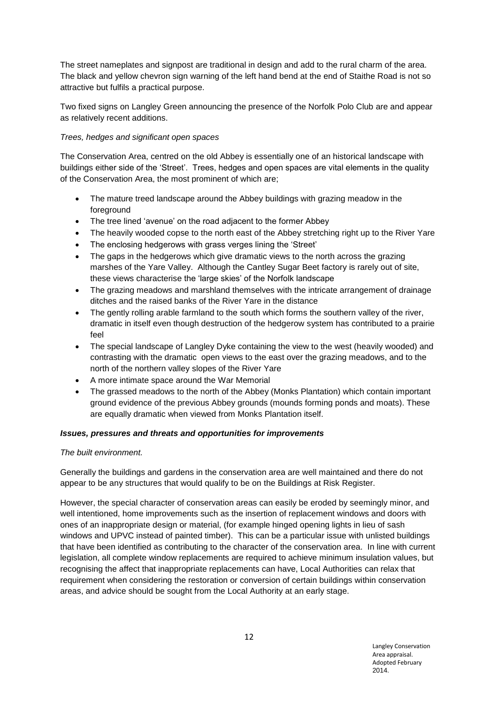The street nameplates and signpost are traditional in design and add to the rural charm of the area. The black and yellow chevron sign warning of the left hand bend at the end of Staithe Road is not so attractive but fulfils a practical purpose.

Two fixed signs on Langley Green announcing the presence of the Norfolk Polo Club are and appear as relatively recent additions.

## *Trees, hedges and significant open spaces*

The Conservation Area, centred on the old Abbey is essentially one of an historical landscape with buildings either side of the 'Street'. Trees, hedges and open spaces are vital elements in the quality of the Conservation Area, the most prominent of which are;

- The mature treed landscape around the Abbey buildings with grazing meadow in the foreground
- The tree lined 'avenue' on the road adjacent to the former Abbey
- The heavily wooded copse to the north east of the Abbey stretching right up to the River Yare
- The enclosing hedgerows with grass verges lining the 'Street'
- The gaps in the hedgerows which give dramatic views to the north across the grazing marshes of the Yare Valley. Although the Cantley Sugar Beet factory is rarely out of site, these views characterise the 'large skies' of the Norfolk landscape
- The grazing meadows and marshland themselves with the intricate arrangement of drainage ditches and the raised banks of the River Yare in the distance
- The gently rolling arable farmland to the south which forms the southern valley of the river, dramatic in itself even though destruction of the hedgerow system has contributed to a prairie feel
- The special landscape of Langley Dyke containing the view to the west (heavily wooded) and contrasting with the dramatic open views to the east over the grazing meadows, and to the north of the northern valley slopes of the River Yare
- A more intimate space around the War Memorial
- The grassed meadows to the north of the Abbey (Monks Plantation) which contain important ground evidence of the previous Abbey grounds (mounds forming ponds and moats). These are equally dramatic when viewed from Monks Plantation itself.

## *Issues, pressures and threats and opportunities for improvements*

## *The built environment.*

Generally the buildings and gardens in the conservation area are well maintained and there do not appear to be any structures that would qualify to be on the Buildings at Risk Register.

However, the special character of conservation areas can easily be eroded by seemingly minor, and well intentioned, home improvements such as the insertion of replacement windows and doors with ones of an inappropriate design or material, (for example hinged opening lights in lieu of sash windows and UPVC instead of painted timber). This can be a particular issue with unlisted buildings that have been identified as contributing to the character of the conservation area. In line with current legislation, all complete window replacements are required to achieve minimum insulation values, but recognising the affect that inappropriate replacements can have, Local Authorities can relax that requirement when considering the restoration or conversion of certain buildings within conservation areas, and advice should be sought from the Local Authority at an early stage.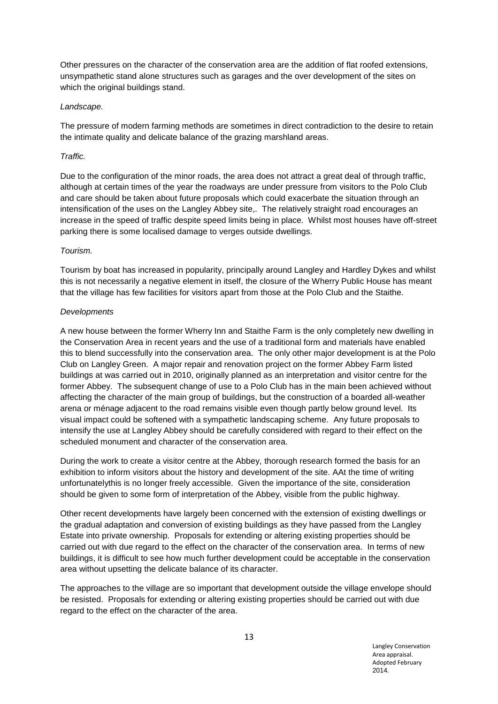Other pressures on the character of the conservation area are the addition of flat roofed extensions, unsympathetic stand alone structures such as garages and the over development of the sites on which the original buildings stand.

### *Landscape.*

The pressure of modern farming methods are sometimes in direct contradiction to the desire to retain the intimate quality and delicate balance of the grazing marshland areas.

### *Traffic.*

Due to the configuration of the minor roads, the area does not attract a great deal of through traffic, although at certain times of the year the roadways are under pressure from visitors to the Polo Club and care should be taken about future proposals which could exacerbate the situation through an intensification of the uses on the Langley Abbey site,. The relatively straight road encourages an increase in the speed of traffic despite speed limits being in place. Whilst most houses have off-street parking there is some localised damage to verges outside dwellings.

### *Tourism.*

Tourism by boat has increased in popularity, principally around Langley and Hardley Dykes and whilst this is not necessarily a negative element in itself, the closure of the Wherry Public House has meant that the village has few facilities for visitors apart from those at the Polo Club and the Staithe.

### *Developments*

A new house between the former Wherry Inn and Staithe Farm is the only completely new dwelling in the Conservation Area in recent years and the use of a traditional form and materials have enabled this to blend successfully into the conservation area. The only other major development is at the Polo Club on Langley Green. A major repair and renovation project on the former Abbey Farm listed buildings at was carried out in 2010, originally planned as an interpretation and visitor centre for the former Abbey. The subsequent change of use to a Polo Club has in the main been achieved without affecting the character of the main group of buildings, but the construction of a boarded all-weather arena or ménage adjacent to the road remains visible even though partly below ground level. Its visual impact could be softened with a sympathetic landscaping scheme. Any future proposals to intensify the use at Langley Abbey should be carefully considered with regard to their effect on the scheduled monument and character of the conservation area.

During the work to create a visitor centre at the Abbey, thorough research formed the basis for an exhibition to inform visitors about the history and development of the site. AAt the time of writing unfortunatelythis is no longer freely accessible. Given the importance of the site, consideration should be given to some form of interpretation of the Abbey, visible from the public highway.

Other recent developments have largely been concerned with the extension of existing dwellings or the gradual adaptation and conversion of existing buildings as they have passed from the Langley Estate into private ownership. Proposals for extending or altering existing properties should be carried out with due regard to the effect on the character of the conservation area. In terms of new buildings, it is difficult to see how much further development could be acceptable in the conservation area without upsetting the delicate balance of its character.

The approaches to the village are so important that development outside the village envelope should be resisted. Proposals for extending or altering existing properties should be carried out with due regard to the effect on the character of the area.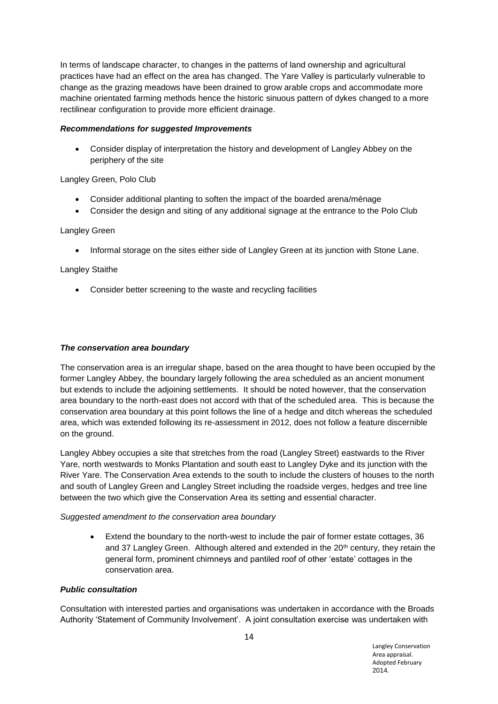In terms of landscape character, to changes in the patterns of land ownership and agricultural practices have had an effect on the area has changed. The Yare Valley is particularly vulnerable to change as the grazing meadows have been drained to grow arable crops and accommodate more machine orientated farming methods hence the historic sinuous pattern of dykes changed to a more rectilinear configuration to provide more efficient drainage.

## *Recommendations for suggested Improvements*

 Consider display of interpretation the history and development of Langley Abbey on the periphery of the site

## Langley Green, Polo Club

- Consider additional planting to soften the impact of the boarded arena/ménage
- Consider the design and siting of any additional signage at the entrance to the Polo Club

### Langley Green

Informal storage on the sites either side of Langley Green at its junction with Stone Lane.

### Langley Staithe

Consider better screening to the waste and recycling facilities

### *The conservation area boundary*

The conservation area is an irregular shape, based on the area thought to have been occupied by the former Langley Abbey, the boundary largely following the area scheduled as an ancient monument but extends to include the adjoining settlements. It should be noted however, that the conservation area boundary to the north-east does not accord with that of the scheduled area. This is because the conservation area boundary at this point follows the line of a hedge and ditch whereas the scheduled area, which was extended following its re-assessment in 2012, does not follow a feature discernible on the ground.

Langley Abbey occupies a site that stretches from the road (Langley Street) eastwards to the River Yare, north westwards to Monks Plantation and south east to Langley Dyke and its junction with the River Yare. The Conservation Area extends to the south to include the clusters of houses to the north and south of Langley Green and Langley Street including the roadside verges, hedges and tree line between the two which give the Conservation Area its setting and essential character.

## *Suggested amendment to the conservation area boundary*

 Extend the boundary to the north-west to include the pair of former estate cottages, 36 and 37 Langley Green. Although altered and extended in the 20<sup>th</sup> century, they retain the general form, prominent chimneys and pantiled roof of other 'estate' cottages in the conservation area.

## *Public consultation*

Consultation with interested parties and organisations was undertaken in accordance with the Broads Authority 'Statement of Community Involvement'. A joint consultation exercise was undertaken with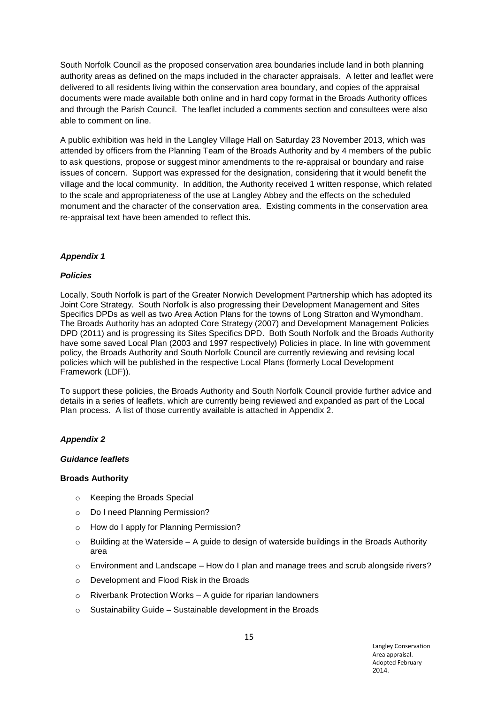South Norfolk Council as the proposed conservation area boundaries include land in both planning authority areas as defined on the maps included in the character appraisals. A letter and leaflet were delivered to all residents living within the conservation area boundary, and copies of the appraisal documents were made available both online and in hard copy format in the Broads Authority offices and through the Parish Council. The leaflet included a comments section and consultees were also able to comment on line.

A public exhibition was held in the Langley Village Hall on Saturday 23 November 2013, which was attended by officers from the Planning Team of the Broads Authority and by 4 members of the public to ask questions, propose or suggest minor amendments to the re-appraisal or boundary and raise issues of concern. Support was expressed for the designation, considering that it would benefit the village and the local community. In addition, the Authority received 1 written response, which related to the scale and appropriateness of the use at Langley Abbey and the effects on the scheduled monument and the character of the conservation area. Existing comments in the conservation area re-appraisal text have been amended to reflect this.

## *Appendix 1*

## *Policies*

Locally, South Norfolk is part of the Greater Norwich Development Partnership which has adopted its Joint Core Strategy. South Norfolk is also progressing their Development Management and Sites Specifics DPDs as well as two Area Action Plans for the towns of Long Stratton and Wymondham. The Broads Authority has an adopted Core Strategy (2007) and Development Management Policies DPD (2011) and is progressing its Sites Specifics DPD. Both South Norfolk and the Broads Authority have some saved Local Plan (2003 and 1997 respectively) Policies in place. In line with government policy, the Broads Authority and South Norfolk Council are currently reviewing and revising local policies which will be published in the respective Local Plans (formerly Local Development Framework (LDF)).

To support these policies, the Broads Authority and South Norfolk Council provide further advice and details in a series of leaflets, which are currently being reviewed and expanded as part of the Local Plan process. A list of those currently available is attached in Appendix 2.

## *Appendix 2*

#### *Guidance leaflets*

#### **Broads Authority**

- o Keeping the Broads Special
- o Do I need Planning Permission?
- o How do I apply for Planning Permission?
- $\circ$  Building at the Waterside A guide to design of waterside buildings in the Broads Authority area
- $\circ$  Environment and Landscape How do I plan and manage trees and scrub alongside rivers?
- o Development and Flood Risk in the Broads
- $\circ$  Riverbank Protection Works A guide for riparian landowners
- $\circ$  Sustainability Guide Sustainable development in the Broads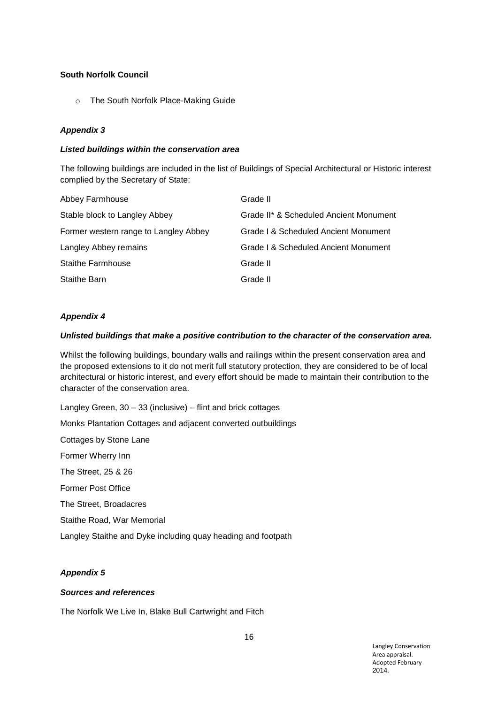## **South Norfolk Council**

o The South Norfolk Place-Making Guide

## *Appendix 3*

### *Listed buildings within the conservation area*

The following buildings are included in the list of Buildings of Special Architectural or Historic interest complied by the Secretary of State:

| Abbey Farmhouse                       | Grade II                               |
|---------------------------------------|----------------------------------------|
| Stable block to Langley Abbey         | Grade II* & Scheduled Ancient Monument |
| Former western range to Langley Abbey | Grade I & Scheduled Ancient Monument   |
| Langley Abbey remains                 | Grade I & Scheduled Ancient Monument   |
| <b>Staithe Farmhouse</b>              | Grade II                               |
| <b>Staithe Barn</b>                   | Grade II                               |

## *Appendix 4*

### *Unlisted buildings that make a positive contribution to the character of the conservation area.*

Whilst the following buildings, boundary walls and railings within the present conservation area and the proposed extensions to it do not merit full statutory protection, they are considered to be of local architectural or historic interest, and every effort should be made to maintain their contribution to the character of the conservation area.

Langley Green, 30 – 33 (inclusive) – flint and brick cottages Monks Plantation Cottages and adjacent converted outbuildings Cottages by Stone Lane Former Wherry Inn The Street, 25 & 26

Former Post Office

The Street, Broadacres

Staithe Road, War Memorial

Langley Staithe and Dyke including quay heading and footpath

## *Appendix 5*

## *Sources and references*

The Norfolk We Live In, Blake Bull Cartwright and Fitch